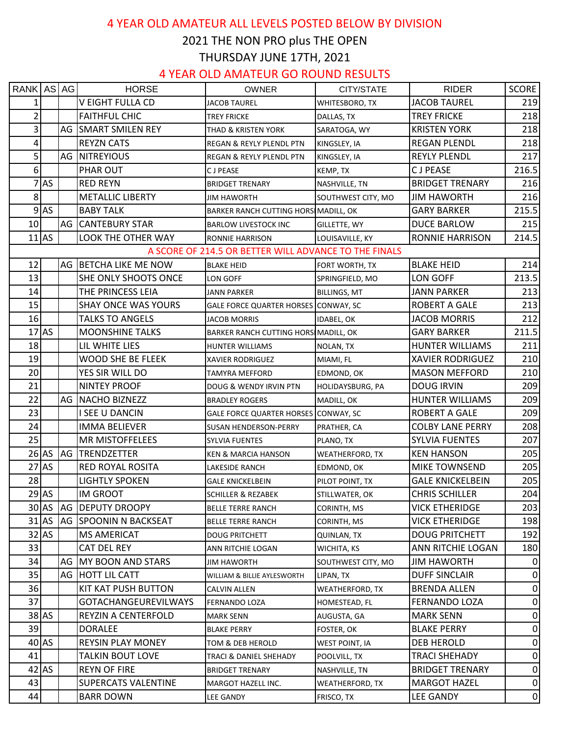### 4 YEAR OLD AMATEUR ALL LEVELS POSTED BELOW BY DIVISION

## 2021 THE NON PRO plus THE OPEN THURSDAY JUNE 17TH, 2021

#### 4 YEAR OLD AMATEUR GO ROUND RESULTS

| RANK AS AG      |         | <b>HORSE</b>               | <b>OWNER</b>                                          | CITY/STATE             | <b>RIDER</b>            | <b>SCORE</b>     |
|-----------------|---------|----------------------------|-------------------------------------------------------|------------------------|-------------------------|------------------|
| $1\vert$        |         | V EIGHT FULLA CD           | <b>JACOB TAUREL</b>                                   | <b>WHITESBORO, TX</b>  | <b>JACOB TAUREL</b>     | 219              |
| $\overline{2}$  |         | <b>FAITHFUL CHIC</b>       | <b>TREY FRICKE</b>                                    | DALLAS, TX             | <b>TREY FRICKE</b>      | 218              |
| $\vert$ 3       |         | AG SMART SMILEN REY        | THAD & KRISTEN YORK                                   | SARATOGA, WY           | <b>KRISTEN YORK</b>     | 218              |
| $\vert 4 \vert$ |         | <b>REYZN CATS</b>          | <b>REGAN &amp; REYLY PLENDL PTN</b>                   | KINGSLEY, IA           | <b>REGAN PLENDL</b>     | 218              |
| $\overline{5}$  |         | AG NITREYIOUS              | REGAN & REYLY PLENDL PTN                              | KINGSLEY, IA           | <b>REYLY PLENDL</b>     | 217              |
| 6 <sup>1</sup>  |         | PHAR OUT                   | <b>CJPEASE</b>                                        | KEMP, TX               | <b>CJPEASE</b>          | 216.5            |
|                 | $7$ AS  | <b>RED REYN</b>            | <b>BRIDGET TRENARY</b>                                | NASHVILLE, TN          | <b>BRIDGET TRENARY</b>  | 216              |
| 8 <sup>1</sup>  |         | <b>METALLIC LIBERTY</b>    | JIM HAWORTH                                           | SOUTHWEST CITY, MO     | <b>JIM HAWORTH</b>      | 216              |
|                 | $9$ AS  | <b>BABY TALK</b>           | BARKER RANCH CUTTING HORS MADILL, OK                  |                        | <b>GARY BARKER</b>      | 215.5            |
| 10              |         | AG CANTEBURY STAR          | <b>BARLOW LIVESTOCK INC</b>                           | GILLETTE, WY           | DUCE BARLOW             | 215              |
|                 | $11$ AS | LOOK THE OTHER WAY         | <b>RONNIE HARRISON</b>                                | LOUISAVILLE, KY        | <b>RONNIE HARRISON</b>  | 214.5            |
|                 |         |                            | A SCORE OF 214.5 OR BETTER WILL ADVANCE TO THE FINALS |                        |                         |                  |
| 12              |         | AG BETCHA LIKE ME NOW      | <b>BLAKE HEID</b>                                     | FORT WORTH, TX         | <b>BLAKE HEID</b>       | 214              |
| 13              |         | SHE ONLY SHOOTS ONCE       | LON GOFF                                              | SPRINGFIELD, MO        | LON GOFF                | 213.5            |
| 14              |         | THE PRINCESS LEIA          | <b>JANN PARKER</b>                                    | <b>BILLINGS, MT</b>    | JANN PARKER             | 213              |
| 15              |         | <b>SHAY ONCE WAS YOURS</b> | GALE FORCE QUARTER HORSES CONWAY, SC                  |                        | <b>ROBERT A GALE</b>    | 213              |
| 16              |         | <b>TALKS TO ANGELS</b>     | <b>JACOB MORRIS</b>                                   | IDABEL, OK             | <b>JACOB MORRIS</b>     | 212              |
|                 | $17$ AS | <b>MOONSHINE TALKS</b>     | BARKER RANCH CUTTING HORS MADILL, OK                  |                        | <b>GARY BARKER</b>      | 211.5            |
| 18              |         | LIL WHITE LIES             | <b>HUNTER WILLIAMS</b>                                | NOLAN, TX              | HUNTER WILLIAMS         | 211              |
| 19              |         | <b>WOOD SHE BE FLEEK</b>   | <b>XAVIER RODRIGUEZ</b>                               | MIAMI, FL              | <b>XAVIER RODRIGUEZ</b> | 210              |
| 20              |         | YES SIR WILL DO            | TAMYRA MEFFORD                                        | EDMOND, OK             | <b>MASON MEFFORD</b>    | 210              |
| 21              |         | <b>NINTEY PROOF</b>        | DOUG & WENDY IRVIN PTN                                | HOLIDAYSBURG, PA       | <b>DOUG IRVIN</b>       | 209              |
| 22              |         | AG NACHO BIZNEZZ           | <b>BRADLEY ROGERS</b>                                 | MADILL, OK             | HUNTER WILLIAMS         | 209              |
| 23              |         | I SEE U DANCIN             | GALE FORCE QUARTER HORSES CONWAY, SC                  |                        | <b>ROBERT A GALE</b>    | 209              |
| 24              |         | <b>IMMA BELIEVER</b>       | SUSAN HENDERSON-PERRY                                 | PRATHER, CA            | <b>COLBY LANE PERRY</b> | 208              |
| 25              |         | <b>MR MISTOFFELEES</b>     | <b>SYLVIA FUENTES</b>                                 | PLANO, TX              | <b>SYLVIA FUENTES</b>   | 207              |
|                 | $26$ AS | <b>AG TRENDZETTER</b>      | <b>KEN &amp; MARCIA HANSON</b>                        | <b>WEATHERFORD, TX</b> | <b>KEN HANSON</b>       | 205              |
|                 | $27$ AS | <b>RED ROYAL ROSITA</b>    | LAKESIDE RANCH                                        | EDMOND, OK             | <b>MIKE TOWNSEND</b>    | 205              |
| 28              |         | <b>LIGHTLY SPOKEN</b>      | GALE KNICKELBEIN                                      | PILOT POINT, TX        | <b>GALE KNICKELBEIN</b> | 205              |
|                 | $29$ AS | <b>IM GROOT</b>            | <b>SCHILLER &amp; REZABEK</b>                         | STILLWATER, OK         | <b>CHRIS SCHILLER</b>   | 204              |
|                 | $30$ AS | <b>AG DEPUTY DROOPY</b>    | <b>BELLE TERRE RANCH</b>                              | CORINTH, MS            | <b>VICK ETHERIDGE</b>   | 203              |
|                 | $31$ AS | AG SPOONIN N BACKSEAT      | <b>BELLE TERRE RANCH</b>                              | CORINTH, MS            | <b>VICK ETHERIDGE</b>   | 198              |
|                 | $32$ AS | <b>MS AMERICAT</b>         | <b>DOUG PRITCHETT</b>                                 | <b>QUINLAN, TX</b>     | <b>DOUG PRITCHETT</b>   | 192              |
| 33              |         | <b>CAT DEL REY</b>         | ANN RITCHIE LOGAN                                     | WICHITA, KS            | ANN RITCHIE LOGAN       | 180              |
| 34              |         | AG MY BOON AND STARS       | <b>JIM HAWORTH</b>                                    | SOUTHWEST CITY, MO     | <b>JIM HAWORTH</b>      | 0                |
| 35              |         | AG HOTT LIL CATT           | WILLIAM & BILLIE AYLESWORTH                           | LIPAN, TX              | <b>DUFF SINCLAIR</b>    | 0                |
| 36              |         | KIT KAT PUSH BUTTON        | <b>CALVIN ALLEN</b>                                   | <b>WEATHERFORD, TX</b> | <b>BRENDA ALLEN</b>     | $\boldsymbol{0}$ |
| 37              |         | GOTACHANGEUREVILWAYS       | <b>FERNANDO LOZA</b>                                  | HOMESTEAD, FL          | <b>FERNANDO LOZA</b>    | 0                |
|                 | $38$ AS | REYZIN A CENTERFOLD        | <b>MARK SENN</b>                                      | AUGUSTA, GA            | <b>MARK SENN</b>        | 0                |
| 39              |         | <b>DORALEE</b>             | <b>BLAKE PERRY</b>                                    | FOSTER, OK             | <b>BLAKE PERRY</b>      | 0                |
|                 | $40$ AS | <b>REYSIN PLAY MONEY</b>   | TOM & DEB HEROLD                                      | WEST POINT, IA         | DEB HEROLD              | 0                |
| 41              |         | <b>TALKIN BOUT LOVE</b>    | TRACI & DANIEL SHEHADY                                | POOLVILL, TX           | <b>TRACI SHEHADY</b>    | $\mathbf 0$      |
|                 | $42$ AS | <b>REYN OF FIRE</b>        | <b>BRIDGET TRENARY</b>                                | NASHVILLE, TN          | <b>BRIDGET TRENARY</b>  | $\pmb{0}$        |
| 43              |         | <b>SUPERCATS VALENTINE</b> | MARGOT HAZELL INC.                                    | <b>WEATHERFORD, TX</b> | <b>MARGOT HAZEL</b>     | 0                |
| 44              |         | <b>BARR DOWN</b>           | LEE GANDY                                             | FRISCO, TX             | <b>LEE GANDY</b>        | 0                |
|                 |         |                            |                                                       |                        |                         |                  |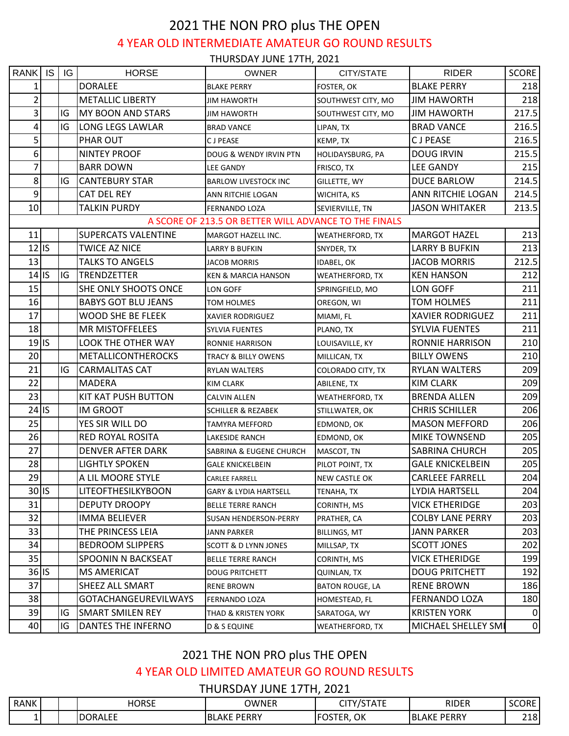# 2021 THE NON PRO plus THE OPEN 4 YEAR OLD INTERMEDIATE AMATEUR GO ROUND RESULTS

THURSDAY JUNE 17TH, 2021

| RANK                    | <b>IS</b> | IG | <b>HORSE</b>                | <b>OWNER</b>                                          | CITY/STATE              | <b>RIDER</b>            | <b>SCORE</b>     |
|-------------------------|-----------|----|-----------------------------|-------------------------------------------------------|-------------------------|-------------------------|------------------|
| 1                       |           |    | <b>DORALEE</b>              | <b>BLAKE PERRY</b>                                    | FOSTER, OK              | <b>BLAKE PERRY</b>      | 218              |
| $\overline{2}$          |           |    | <b>METALLIC LIBERTY</b>     | JIM HAWORTH                                           | SOUTHWEST CITY, MO      | <b>JIM HAWORTH</b>      | 218              |
| $\overline{\mathbf{3}}$ |           | IG | <b>MY BOON AND STARS</b>    | <b>JIM HAWORTH</b>                                    | SOUTHWEST CITY, MO      | <b>JIM HAWORTH</b>      | 217.5            |
| 4                       |           | IG | <b>LONG LEGS LAWLAR</b>     | <b>BRAD VANCE</b>                                     | LIPAN, TX               | <b>BRAD VANCE</b>       | 216.5            |
| 5                       |           |    | PHAR OUT                    | C J PEASE                                             | KEMP, TX                | <b>CJPEASE</b>          | 216.5            |
| 6                       |           |    | <b>NINTEY PROOF</b>         | DOUG & WENDY IRVIN PTN                                | <b>HOLIDAYSBURG, PA</b> | <b>DOUG IRVIN</b>       | 215.5            |
| 7                       |           |    | <b>BARR DOWN</b>            | <b>LEE GANDY</b>                                      | FRISCO, TX              | <b>LEE GANDY</b>        | 215              |
| $\bf 8$                 |           | IG | <b>CANTEBURY STAR</b>       | <b>BARLOW LIVESTOCK INC</b>                           | <b>GILLETTE, WY</b>     | <b>DUCE BARLOW</b>      | 214.5            |
| 9                       |           |    | CAT DEL REY                 | ANN RITCHIE LOGAN                                     | <b>WICHITA, KS</b>      | ANN RITCHIE LOGAN       | 214.5            |
| 10                      |           |    | <b>TALKIN PURDY</b>         | <b>FERNANDO LOZA</b>                                  | SEVIERVILLE, TN         | <b>JASON WHITAKER</b>   | 213.5            |
|                         |           |    |                             | A SCORE OF 213.5 OR BETTER WILL ADVANCE TO THE FINALS |                         |                         |                  |
| 11                      |           |    | <b>SUPERCATS VALENTINE</b>  | MARGOT HAZELL INC.                                    | <b>WEATHERFORD, TX</b>  | <b>MARGOT HAZEL</b>     | 213              |
| $12$ IS                 |           |    | <b>TWICE AZ NICE</b>        | <b>LARRY B BUFKIN</b>                                 | SNYDER, TX              | LARRY B BUFKIN          | 213              |
| 13                      |           |    | <b>TALKS TO ANGELS</b>      | <b>JACOB MORRIS</b>                                   | <b>IDABEL, OK</b>       | <b>JACOB MORRIS</b>     | 212.5            |
| $14$ IS                 |           | IG | TRENDZETTER                 | <b>KEN &amp; MARCIA HANSON</b>                        | <b>WEATHERFORD, TX</b>  | <b>KEN HANSON</b>       | 212              |
| 15                      |           |    | SHE ONLY SHOOTS ONCE        | LON GOFF                                              | SPRINGFIELD, MO         | LON GOFF                | 211              |
| 16                      |           |    | <b>BABYS GOT BLU JEANS</b>  | <b>TOM HOLMES</b>                                     | OREGON, WI              | <b>TOM HOLMES</b>       | 211              |
| 17                      |           |    | <b>WOOD SHE BE FLEEK</b>    | XAVIER RODRIGUEZ                                      | MIAMI, FL               | <b>XAVIER RODRIGUEZ</b> | 211              |
| 18                      |           |    | <b>MR MISTOFFELEES</b>      | SYLVIA FUENTES                                        | PLANO, TX               | <b>SYLVIA FUENTES</b>   | 211              |
| $19$ IS                 |           |    | LOOK THE OTHER WAY          | RONNIE HARRISON                                       | LOUISAVILLE, KY         | <b>RONNIE HARRISON</b>  | 210              |
| 20                      |           |    | <b>METALLICONTHEROCKS</b>   | TRACY & BILLY OWENS                                   | MILLICAN, TX            | <b>BILLY OWENS</b>      | 210              |
| 21                      |           | IG | <b>CARMALITAS CAT</b>       | RYLAN WALTERS                                         | COLORADO CITY, TX       | <b>RYLAN WALTERS</b>    | 209              |
| 22                      |           |    | <b>MADERA</b>               | KIM CLARK                                             | ABILENE, TX             | <b>KIM CLARK</b>        | 209              |
| 23                      |           |    | <b>KIT KAT PUSH BUTTON</b>  | <b>CALVIN ALLEN</b>                                   | <b>WEATHERFORD, TX</b>  | <b>BRENDA ALLEN</b>     | 209              |
| $24$ IS                 |           |    | <b>IM GROOT</b>             | <b>SCHILLER &amp; REZABEK</b>                         | STILLWATER, OK          | <b>CHRIS SCHILLER</b>   | 206              |
| 25                      |           |    | YES SIR WILL DO             | TAMYRA MEFFORD                                        | EDMOND, OK              | <b>MASON MEFFORD</b>    | 206              |
| 26                      |           |    | RED ROYAL ROSITA            | LAKESIDE RANCH                                        | EDMOND, OK              | MIKE TOWNSEND           | 205              |
| 27                      |           |    | <b>DENVER AFTER DARK</b>    | SABRINA & EUGENE CHURCH                               | MASCOT, TN              | <b>SABRINA CHURCH</b>   | 205              |
| 28                      |           |    | <b>LIGHTLY SPOKEN</b>       | <b>GALE KNICKELBEIN</b>                               | PILOT POINT, TX         | <b>GALE KNICKELBEIN</b> | 205              |
| 29                      |           |    | A LIL MOORE STYLE           | CARLEE FARRELL                                        | <b>NEW CASTLE OK</b>    | <b>CARLEEE FARRELL</b>  | 204              |
| $30$ IS                 |           |    | <b>LITEOFTHESILKYBOON</b>   | <b>GARY &amp; LYDIA HARTSELL</b>                      | TENAHA, TX              | LYDIA HARTSELL          | 204              |
| 31                      |           |    | <b>DEPUTY DROOPY</b>        | <b>BELLE TERRE RANCH</b>                              | CORINTH, MS             | <b>VICK ETHERIDGE</b>   | 203              |
| 32                      |           |    | <b>IMMA BELIEVER</b>        | SUSAN HENDERSON-PERRY                                 | PRATHER, CA             | <b>COLBY LANE PERRY</b> | 203              |
| 33                      |           |    | THE PRINCESS LEIA           | JANN PARKER                                           | <b>BILLINGS, MT</b>     | <b>JANN PARKER</b>      | 203              |
| 34                      |           |    | <b>BEDROOM SLIPPERS</b>     | <b>SCOTT &amp; D LYNN JONES</b>                       | MILLSAP, TX             | <b>SCOTT JONES</b>      | 202              |
| 35                      |           |    | SPOONIN N BACKSEAT          | <b>BELLE TERRE RANCH</b>                              | CORINTH, MS             | <b>VICK ETHERIDGE</b>   | 199              |
| $36$ IS                 |           |    | <b>MS AMERICAT</b>          | <b>DOUG PRITCHETT</b>                                 | <b>QUINLAN, TX</b>      | <b>DOUG PRITCHETT</b>   | 192              |
| 37                      |           |    | SHEEZ ALL SMART             | <b>RENE BROWN</b>                                     | <b>BATON ROUGE, LA</b>  | <b>RENE BROWN</b>       | 186              |
| 38                      |           |    | <b>GOTACHANGEUREVILWAYS</b> | FERNANDO LOZA                                         | HOMESTEAD, FL           | <b>FERNANDO LOZA</b>    | 180              |
| 39                      |           | IG | <b>SMART SMILEN REY</b>     | THAD & KRISTEN YORK                                   | SARATOGA, WY            | <b>KRISTEN YORK</b>     | 0                |
| 40                      |           | IG | DANTES THE INFERNO          | D & S EQUINE                                          | <b>WEATHERFORD, TX</b>  | MICHAEL SHELLEY SMI     | $\boldsymbol{0}$ |

#### 2021 THE NON PRO plus THE OPEN

4 YEAR OLD LIMITED AMATEUR GO ROUND RESULTS

THURSDAY JUNE 17TH, 2021

| <b>RANK</b> | <b>HORSE</b>   | OWNER                      | $- \cdot - -$<br>---<br><b>___</b><br>๛ | RIDER                      | SCORE<br>຺຺ຩຩຩໞຏ |
|-------------|----------------|----------------------------|-----------------------------------------|----------------------------|------------------|
| --          | <b>DORALEE</b> | <b>PERRY</b><br>AKE<br>'Bl | OK<br>$ \cap$<br>ັ<br>. .               | <b>PERRY</b><br>'BL<br>AKF | 218              |